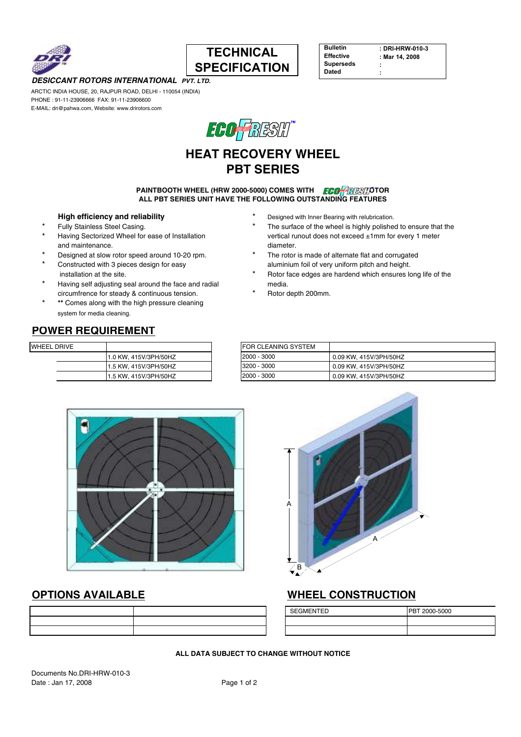



| <b>Bulletin</b>  |  |
|------------------|--|
| <b>Effective</b> |  |
| <b>Superseds</b> |  |
| Dated            |  |

: DRI-HRW-010-3 : Mar 14, 2008 : :

### DESICCANT ROTORS INTERNATIONAL PVT. LTD.

ARCTIC INDIA HOUSE, 20, RAJPUR ROAD, DELHI - 110054 (INDIA) PHONE : 91-11-23906666 FAX: 91-11-23906600 E-MAIL: dri@pahwa.com, Website: www.drirotors.com



# HEAT RECOVERY WHEEL PBT SERIES

#### **PAINTBOOTH WHEEL (HRW 2000-5000) COMES WITH FOOF REST**OR ALL PBT SERIES UNIT HAVE THE FOLLOWING OUTSTANDING FEATURES

- 
- and maintenance. The contract of the contract of the contract of the contract of the contract of the contract of the contract of the contract of the contract of the contract of the contract of the contract of the contract
- 
- 
- Having self adjusting seal around the face and radial media. circumfrence for steady & continuous tension. \* Rotor depth 200mm.
- \*\* Comes along with the high pressure cleaning system for media cleaning.
- High efficiency and reliability and the state of the state of the Designed with Inner Bearing with relubrication.
- Fully Stainless Steel Casing. The surface of the wheel is highly polished to ensure that the Having Sectorized Wheel for ease of Installation vertical runout does not exceed ±1mm for every 1 meter
- Designed at slow rotor speed around 10-20 rpm. \* The rotor is made of alternate flat and corrugated Constructed with 3 pieces design for easy aluminium foil of very uniform pitch and height.
- installation at the site.  $\blacksquare$  The state of the site of the site of the site of the site of the site of the site of the site of the site of the site of the site of the site of the site of the site of the site of the site
	-

## POWER REQUIREMENT

| WHEEL DRIVE |                       | <b>FOR CLEANING SYSTEM</b> |
|-------------|-----------------------|----------------------------|
|             | 1.0 KW. 415V/3PH/50HZ | 2000 - 3000                |
|             | 1.5 KW. 415V/3PH/50HZ | 3200 - 3000                |
|             | 1.5 KW. 415V/3PH/50HZ | 2000 - 3000                |

|                       | <b>FOR CLEANING SYSTEM</b> |                        |
|-----------------------|----------------------------|------------------------|
| 1.0 KW. 415V/3PH/50HZ | 2000 - 3000                | 0.09 KW, 415V/3PH/50HZ |
| 1.5 KW. 415V/3PH/50HZ | 3200 - 3000                | 0.09 KW, 415V/3PH/50HZ |
| 1.5 KW. 415V/3PH/50HZ | 2000 - 3000                | 0.09 KW, 415V/3PH/50HZ |





## OPTIONS AVAILABLE WHEEL CONSTRUCTION

| <b>SEGMENTED</b> | PBT 2000-5000 |
|------------------|---------------|
|                  |               |
|                  |               |

### ALL DATA SUBJECT TO CHANGE WITHOUT NOTICE